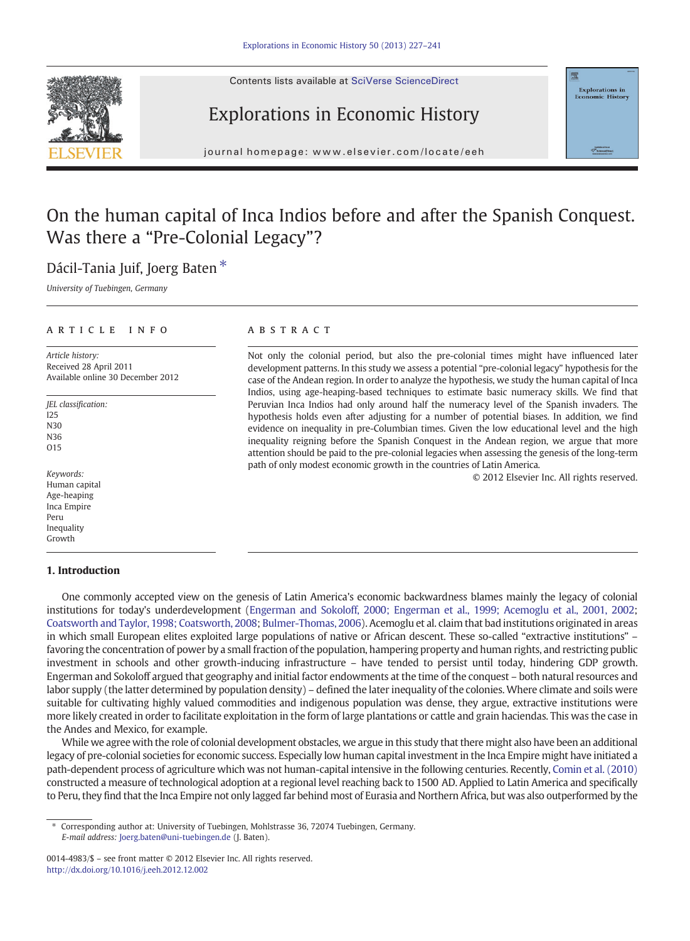Contents lists available at SciVerse ScienceDirect

## Explorations in Economic History

journal homepage: www.elsevier.com/locate/eeh/locate/eeh/locate/eeh/locate/eeh/locate/eeh/locate/eeh/locate/eeh/locate/eeh/locate/eeh/locate/eeh/locate/eeh/locate/eeh/locate/eeh/locate/eeh/locate/eeh/locate/eeh/locate/eeh

### On the human capital of Inca Indios before and after the Spanish Conquest. Was there a "Pre-Colonial Legacy"?

Dácil-Tania Juif, Joerg Baten<sup>\*</sup>

University of Tuebingen, Germany

#### article info abstract

Article history: Received 28 April 2011 Available online 30 December 2012

JEL classification: I25 N30 N36 O<sub>15</sub>

Keywords: Human capital Age-heaping Inca Empire Peru Inequality Growth

### 1. Introduction

Not only the colonial period, but also the pre-colonial times might have influenced later development patterns. In this study we assess a potential "pre-colonial legacy" hypothesis for the case of the Andean region. In order to analyze the hypothesis, we study the human capital of Inca Indios, using age-heaping-based techniques to estimate basic numeracy skills. We find that Peruvian Inca Indios had only around half the numeracy level of the Spanish invaders. The hypothesis holds even after adjusting for a number of potential biases. In addition, we find evidence on inequality in pre-Columbian times. Given the low educational level and the high inequality reigning before the Spanish Conquest in the Andean region, we argue that more attention should be paid to the pre-colonial legacies when assessing the genesis of the long-term path of only modest economic growth in the countries of Latin America.

© 2012 Elsevier Inc. All rights reserved.

One commonly accepted view on the genesis of Latin America's economic backwardness blames mainly the legacy of colonial institutions for today's underdevelopment ([Engerman and Sokoloff, 2000; Engerman et al., 1999; Acemoglu et al., 2001, 2002](#page--1-0); [Coatsworth and Taylor, 1998; Coatsworth, 2008;](#page--1-0) [Bulmer-Thomas, 2006\)](#page--1-0). Acemoglu et al. claim that bad institutions originated in areas in which small European elites exploited large populations of native or African descent. These so-called "extractive institutions" – favoring the concentration of power by a small fraction of the population, hampering property and human rights, and restricting public investment in schools and other growth-inducing infrastructure – have tended to persist until today, hindering GDP growth. Engerman and Sokoloff argued that geography and initial factor endowments at the time of the conquest – both natural resources and labor supply (the latter determined by population density) – defined the later inequality of the colonies. Where climate and soils were suitable for cultivating highly valued commodities and indigenous population was dense, they argue, extractive institutions were more likely created in order to facilitate exploitation in the form of large plantations or cattle and grain haciendas. This was the case in the Andes and Mexico, for example.

While we agree with the role of colonial development obstacles, we argue in this study that there might also have been an additional legacy of pre-colonial societies for economic success. Especially low human capital investment in the Inca Empire might have initiated a path-dependent process of agriculture which was not human-capital intensive in the following centuries. Recently, [Comin et al. \(2010\)](#page--1-0) constructed a measure of technological adoption at a regional level reaching back to 1500 AD. Applied to Latin America and specifically to Peru, they find that the Inca Empire not only lagged far behind most of Eurasia and Northern Africa, but was also outperformed by the

<span id="page-0-0"></span>



<sup>⁎</sup> Corresponding author at: University of Tuebingen, Mohlstrasse 36, 72074 Tuebingen, Germany. E-mail address: [Joerg.baten@uni-tuebingen.de](mailto:Joerg.baten@uni-tuebingen.de) (J. Baten).

<sup>0014-4983/\$</sup> – see front matter © 2012 Elsevier Inc. All rights reserved. <http://dx.doi.org/10.1016/j.eeh.2012.12.002>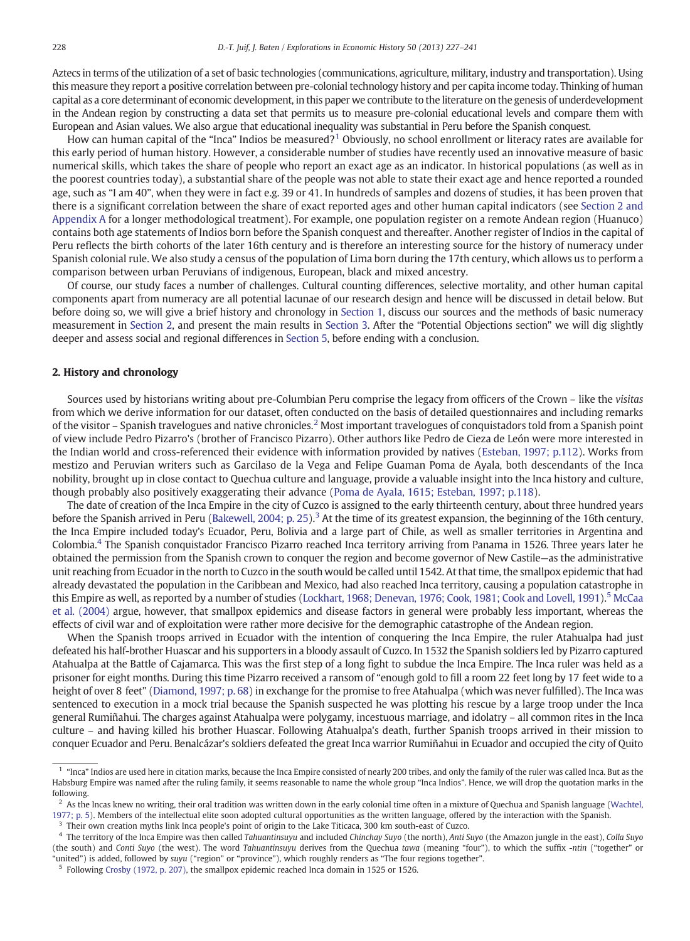Aztecs in terms of the utilization of a set of basic technologies (communications, agriculture, military, industry and transportation). Using this measure they report a positive correlation between pre-colonial technology history and per capita income today. Thinking of human capital as a core determinant of economic development, in this paper we contribute to the literature on the genesis of underdevelopment in the Andean region by constructing a data set that permits us to measure pre-colonial educational levels and compare them with European and Asian values. We also argue that educational inequality was substantial in Peru before the Spanish conquest.

How can human capital of the "Inca" Indios be measured?<sup>1</sup> Obviously, no school enrollment or literacy rates are available for this early period of human history. However, a considerable number of studies have recently used an innovative measure of basic numerical skills, which takes the share of people who report an exact age as an indicator. In historical populations (as well as in the poorest countries today), a substantial share of the people was not able to state their exact age and hence reported a rounded age, such as "I am 40", when they were in fact e.g. 39 or 41. In hundreds of samples and dozens of studies, it has been proven that there is a significant correlation between the share of exact reported ages and other human capital indicators (see Section 2 and Appendix A for a longer methodological treatment). For example, one population register on a remote Andean region (Huanuco) contains both age statements of Indios born before the Spanish conquest and thereafter. Another register of Indios in the capital of Peru reflects the birth cohorts of the later 16th century and is therefore an interesting source for the history of numeracy under Spanish colonial rule. We also study a census of the population of Lima born during the 17th century, which allows us to perform a comparison between urban Peruvians of indigenous, European, black and mixed ancestry.

Of course, our study faces a number of challenges. Cultural counting differences, selective mortality, and other human capital components apart from numeracy are all potential lacunae of our research design and hence will be discussed in detail below. But before doing so, we will give a brief history and chronology in [Section 1](#page-0-0), discuss our sources and the methods of basic numeracy measurement in Section 2, and present the main results in [Section 3.](#page--1-0) After the "Potential Objections section" we will dig slightly deeper and assess social and regional differences in [Section 5](#page--1-0), before ending with a conclusion.

#### 2. History and chronology

Sources used by historians writing about pre-Columbian Peru comprise the legacy from officers of the Crown – like the visitas from which we derive information for our dataset, often conducted on the basis of detailed questionnaires and including remarks of the visitor – Spanish travelogues and native chronicles.<sup>2</sup> Most important travelogues of conquistadors told from a Spanish point of view include Pedro Pizarro's (brother of Francisco Pizarro). Other authors like Pedro de Cieza de León were more interested in the Indian world and cross-referenced their evidence with information provided by natives [\(Esteban, 1997; p.112](#page--1-0)). Works from mestizo and Peruvian writers such as Garcilaso de la Vega and Felipe Guaman Poma de Ayala, both descendants of the Inca nobility, brought up in close contact to Quechua culture and language, provide a valuable insight into the Inca history and culture, though probably also positively exaggerating their advance [\(Poma de Ayala, 1615; Esteban, 1997; p.118](#page--1-0)).

The date of creation of the Inca Empire in the city of Cuzco is assigned to the early thirteenth century, about three hundred years before the Spanish arrived in Peru [\(Bakewell, 2004; p. 25](#page--1-0)).<sup>3</sup> At the time of its greatest expansion, the beginning of the 16th century, the Inca Empire included today's Ecuador, Peru, Bolivia and a large part of Chile, as well as smaller territories in Argentina and Colombia.<sup>4</sup> The Spanish conquistador Francisco Pizarro reached Inca territory arriving from Panama in 1526. Three years later he obtained the permission from the Spanish crown to conquer the region and become governor of New Castile—as the administrative unit reaching from Ecuador in the north to Cuzco in the south would be called until 1542. At that time, the smallpox epidemic that had already devastated the population in the Caribbean and Mexico, had also reached Inca territory, causing a population catastrophe in this Empire as well, as reported by a number of studies [\(Lockhart, 1968; Denevan, 1976; Cook, 1981; Cook and Lovell, 1991](#page--1-0)).<sup>5</sup> [McCaa](#page--1-0) [et al. \(2004\)](#page--1-0) argue, however, that smallpox epidemics and disease factors in general were probably less important, whereas the effects of civil war and of exploitation were rather more decisive for the demographic catastrophe of the Andean region.

When the Spanish troops arrived in Ecuador with the intention of conquering the Inca Empire, the ruler Atahualpa had just defeated his half-brother Huascar and his supporters in a bloody assault of Cuzco. In 1532 the Spanish soldiers led by Pizarro captured Atahualpa at the Battle of Cajamarca. This was the first step of a long fight to subdue the Inca Empire. The Inca ruler was held as a prisoner for eight months. During this time Pizarro received a ransom of "enough gold to fill a room 22 feet long by 17 feet wide to a height of over 8 feet" ([Diamond, 1997; p. 68](#page--1-0)) in exchange for the promise to free Atahualpa (which was never fulfilled). The Inca was sentenced to execution in a mock trial because the Spanish suspected he was plotting his rescue by a large troop under the Inca general Rumiñahui. The charges against Atahualpa were polygamy, incestuous marriage, and idolatry – all common rites in the Inca culture – and having killed his brother Huascar. Following Atahualpa's death, further Spanish troops arrived in their mission to conquer Ecuador and Peru. Benalcázar's soldiers defeated the great Inca warrior Rumiñahui in Ecuador and occupied the city of Quito

<sup>3</sup> Their own creation myths link Inca people's point of origin to the Lake Titicaca, 300 km south-east of Cuzco.

 $1$  "Inca" Indios are used here in citation marks, because the Inca Empire consisted of nearly 200 tribes, and only the family of the ruler was called Inca. But as the Habsburg Empire was named after the ruling family, it seems reasonable to name the whole group "Inca Indios". Hence, we will drop the quotation marks in the following.

 $2$  As the Incas knew no writing, their oral tradition was written down in the early colonial time often in a mixture of Quechua and Spanish language ([Wachtel,](#page--1-0) [1977; p. 5\)](#page--1-0). Members of the intellectual elite soon adopted cultural opportunities as the written language, offered by the interaction with the Spanish.

<sup>&</sup>lt;sup>4</sup> The territory of the Inca Empire was then called Tahuantinsuyu and included Chinchay Suyo (the north), Anti Suyo (the Amazon jungle in the east), Colla Suyo (the south) and Conti Suyo (the west). The word Tahuantinsuyu derives from the Quechua tawa (meaning "four"), to which the suffix -ntin ("together" or "united") is added, followed by suyu ("region" or "province"), which roughly renders as "The four regions together".

<sup>5</sup> Following [Crosby \(1972, p. 207\),](#page--1-0) the smallpox epidemic reached Inca domain in 1525 or 1526.